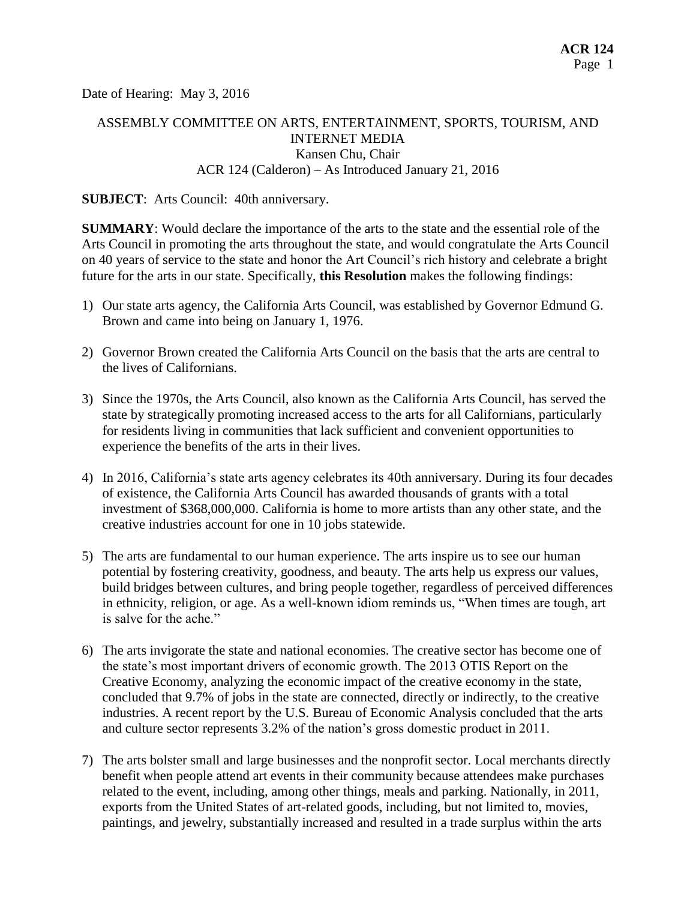Date of Hearing: May 3, 2016

# ASSEMBLY COMMITTEE ON ARTS, ENTERTAINMENT, SPORTS, TOURISM, AND INTERNET MEDIA Kansen Chu, Chair ACR 124 (Calderon) – As Introduced January 21, 2016

#### **SUBJECT**: Arts Council: 40th anniversary.

**SUMMARY**: Would declare the importance of the arts to the state and the essential role of the Arts Council in promoting the arts throughout the state, and would congratulate the Arts Council on 40 years of service to the state and honor the Art Council's rich history and celebrate a bright future for the arts in our state. Specifically, **this Resolution** makes the following findings:

- 1) Our state arts agency, the California Arts Council, was established by Governor Edmund G. Brown and came into being on January 1, 1976.
- 2) Governor Brown created the California Arts Council on the basis that the arts are central to the lives of Californians.
- 3) Since the 1970s, the Arts Council, also known as the California Arts Council, has served the state by strategically promoting increased access to the arts for all Californians, particularly for residents living in communities that lack sufficient and convenient opportunities to experience the benefits of the arts in their lives.
- 4) In 2016, California's state arts agency celebrates its 40th anniversary. During its four decades of existence, the California Arts Council has awarded thousands of grants with a total investment of \$368,000,000. California is home to more artists than any other state, and the creative industries account for one in 10 jobs statewide.
- 5) The arts are fundamental to our human experience. The arts inspire us to see our human potential by fostering creativity, goodness, and beauty. The arts help us express our values, build bridges between cultures, and bring people together, regardless of perceived differences in ethnicity, religion, or age. As a well-known idiom reminds us, "When times are tough, art is salve for the ache."
- 6) The arts invigorate the state and national economies. The creative sector has become one of the state's most important drivers of economic growth. The 2013 OTIS Report on the Creative Economy, analyzing the economic impact of the creative economy in the state, concluded that 9.7% of jobs in the state are connected, directly or indirectly, to the creative industries. A recent report by the U.S. Bureau of Economic Analysis concluded that the arts and culture sector represents 3.2% of the nation's gross domestic product in 2011.
- 7) The arts bolster small and large businesses and the nonprofit sector. Local merchants directly benefit when people attend art events in their community because attendees make purchases related to the event, including, among other things, meals and parking. Nationally, in 2011, exports from the United States of art-related goods, including, but not limited to, movies, paintings, and jewelry, substantially increased and resulted in a trade surplus within the arts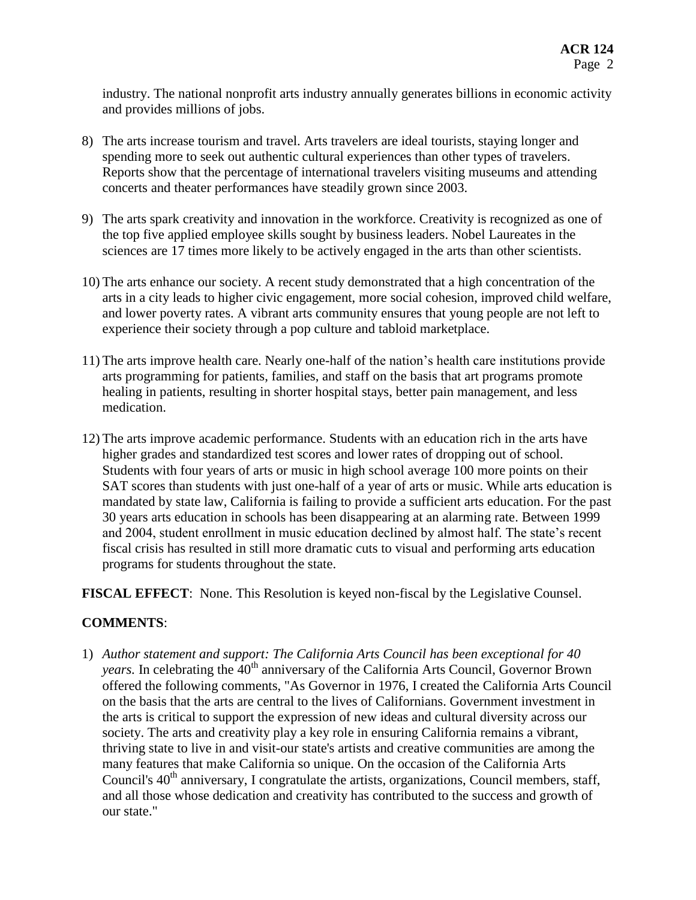industry. The national nonprofit arts industry annually generates billions in economic activity and provides millions of jobs.

- 8) The arts increase tourism and travel. Arts travelers are ideal tourists, staying longer and spending more to seek out authentic cultural experiences than other types of travelers. Reports show that the percentage of international travelers visiting museums and attending concerts and theater performances have steadily grown since 2003.
- 9) The arts spark creativity and innovation in the workforce. Creativity is recognized as one of the top five applied employee skills sought by business leaders. Nobel Laureates in the sciences are 17 times more likely to be actively engaged in the arts than other scientists.
- 10) The arts enhance our society. A recent study demonstrated that a high concentration of the arts in a city leads to higher civic engagement, more social cohesion, improved child welfare, and lower poverty rates. A vibrant arts community ensures that young people are not left to experience their society through a pop culture and tabloid marketplace.
- 11) The arts improve health care. Nearly one-half of the nation's health care institutions provide arts programming for patients, families, and staff on the basis that art programs promote healing in patients, resulting in shorter hospital stays, better pain management, and less medication.
- 12) The arts improve academic performance. Students with an education rich in the arts have higher grades and standardized test scores and lower rates of dropping out of school. Students with four years of arts or music in high school average 100 more points on their SAT scores than students with just one-half of a year of arts or music. While arts education is mandated by state law, California is failing to provide a sufficient arts education. For the past 30 years arts education in schools has been disappearing at an alarming rate. Between 1999 and 2004, student enrollment in music education declined by almost half. The state's recent fiscal crisis has resulted in still more dramatic cuts to visual and performing arts education programs for students throughout the state.

**FISCAL EFFECT**: None. This Resolution is keyed non-fiscal by the Legislative Counsel.

# **COMMENTS**:

1) Author statement and support: The California Arts Council has been exceptional for 40 *years.* In celebrating the  $40<sup>th</sup>$  anniversary of the California Arts Council, Governor Brown offered the following comments, "As Governor in 1976, I created the California Arts Council on the basis that the arts are central to the lives of Californians. Government investment in the arts is critical to support the expression of new ideas and cultural diversity across our society. The arts and creativity play a key role in ensuring California remains a vibrant, thriving state to live in and visit-our state's artists and creative communities are among the many features that make California so unique. On the occasion of the California Arts Council's 40<sup>th</sup> anniversary, I congratulate the artists, organizations, Council members, staff, and all those whose dedication and creativity has contributed to the success and growth of our state."